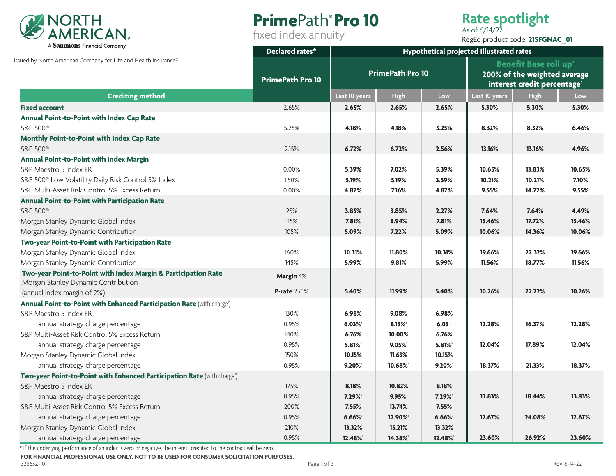

# **Prime**Path**® Pro 10**

fixed index annuity

## **Rate spotlight**

As of 6/14/22 RegEd product code: **21SFGNAC\_01**

|                                                                                            | Declared rates*<br><b>PrimePath Pro 10</b> | Hypothetical projected Illustrated rates |        |                   |                                                                                                                     |             |        |
|--------------------------------------------------------------------------------------------|--------------------------------------------|------------------------------------------|--------|-------------------|---------------------------------------------------------------------------------------------------------------------|-------------|--------|
| Issued by North American Company for Life and Health Insurance®<br><b>Crediting method</b> |                                            | <b>PrimePath Pro 10</b>                  |        |                   | <b>Benefit Base roll up</b> <sup>4</sup><br>200% of the weighted average<br>interest credit percentage <sup>5</sup> |             |        |
|                                                                                            |                                            | Last 10 years                            | High   | Low               | Last 10 years                                                                                                       | <b>High</b> | Low    |
| <b>Fixed account</b>                                                                       | 2.65%                                      | 2.65%                                    | 2.65%  | 2.65%             | 5.30%                                                                                                               | 5.30%       | 5.30%  |
| Annual Point-to-Point with Index Cap Rate                                                  |                                            |                                          |        |                   |                                                                                                                     |             |        |
| S&P 500 <sup>®</sup>                                                                       | 5.25%                                      | 4.18%                                    | 4.18%  | 3.25%             | 8.32%                                                                                                               | 8.32%       | 6.46%  |
| Monthly Point-to-Point with Index Cap Rate                                                 |                                            |                                          |        |                   |                                                                                                                     |             |        |
| S&P 500 <sup>®</sup>                                                                       | 2.15%                                      | 6.72%                                    | 6.72%  | 2.56%             | 13.16%                                                                                                              | 13.16%      | 4.96%  |
| Annual Point-to-Point with Index Margin                                                    |                                            |                                          |        |                   |                                                                                                                     |             |        |
| S&P Maestro 5 Index ER                                                                     | 0.00%                                      | 5.39%                                    | 7.02%  | 5.39%             | 10.65%                                                                                                              | 13.83%      | 10.65% |
| S&P 500 <sup>®</sup> Low Volatility Daily Risk Control 5% Index                            | 1.50%                                      | 5.19%                                    | 5.19%  | 3.59%             | 10.21%                                                                                                              | 10.21%      | 7.10%  |
| S&P Multi-Asset Risk Control 5% Excess Return                                              | 0.00%                                      | 4.87%                                    | 7.16%  | 4.87%             | 9.55%                                                                                                               | 14.22%      | 9.55%  |
| <b>Annual Point-to-Point with Participation Rate</b>                                       |                                            |                                          |        |                   |                                                                                                                     |             |        |
| S&P 500 <sup>®</sup>                                                                       | 25%                                        | 3.85%                                    | 3.85%  | 2.27%             | 7.64%                                                                                                               | 7.64%       | 4.49%  |
| Morgan Stanley Dynamic Global Index                                                        | 115%                                       | 7.81%                                    | 8.94%  | 7.81%             | 15.46%                                                                                                              | 17.72%      | 15.46% |
| Morgan Stanley Dynamic Contribution                                                        | 105%                                       | 5.09%                                    | 7.22%  | 5.09%             | 10.06%                                                                                                              | 14.36%      | 10.06% |
| Two-year Point-to-Point with Participation Rate                                            |                                            |                                          |        |                   |                                                                                                                     |             |        |
| Morgan Stanley Dynamic Global Index                                                        | 160%                                       | 10.31%                                   | 11.80% | 10.31%            | 19.66%                                                                                                              | 22.32%      | 19.66% |
| Morgan Stanley Dynamic Contribution                                                        | 145%                                       | 5.99%                                    | 9.81%  | 5.99%             | 11.56%                                                                                                              | 18.77%      | 11.56% |
| Two-year Point-to-Point with Index Margin & Participation Rate                             | <b>Margin</b> 4%                           |                                          |        |                   |                                                                                                                     |             |        |
| Morgan Stanley Dynamic Contribution                                                        |                                            |                                          |        |                   |                                                                                                                     |             |        |
| (annual index margin of 2% <sup>1</sup> )                                                  | <b>P-rate 250%</b>                         | 5.40%                                    | 11.99% | 5.40%             | 10.26%                                                                                                              | 22.72%      | 10.26% |
| Annual Point-to-Point with Enhanced Participation Rate (with charge <sup>2</sup> )         |                                            |                                          |        |                   |                                                                                                                     |             |        |
| S&P Maestro 5 Index ER                                                                     | 130%                                       | 6.98%                                    | 9.08%  | 6.98%             |                                                                                                                     |             |        |
| annual strategy charge percentage                                                          | 0.95%                                      | 6.03%                                    | 8.13%  | 6.03 <sup>3</sup> | 12.28%                                                                                                              | 16.37%      | 12.28% |
| S&P Multi-Asset Risk Control 5% Excess Return                                              | 140%                                       | 6.76%                                    | 10.00% | 6.76%             |                                                                                                                     |             |        |
| annual strategy charge percentage                                                          | 0.95%                                      | 5.81%                                    | 9.05%  | 5.81%             | 12.04%                                                                                                              | 17.89%      | 12.04% |
| Morgan Stanley Dynamic Global Index                                                        | 150%                                       | 10.15%                                   | 11.63% | 10.15%            |                                                                                                                     |             |        |
| annual strategy charge percentage                                                          | 0.95%                                      | $9.20\%$                                 | 10.68% | $9.20\%$          | 18.37%                                                                                                              | 21.33%      | 18.37% |
| Two-year Point-to-Point with Enhanced Participation Rate (with charge <sup>2</sup> )       |                                            |                                          |        |                   |                                                                                                                     |             |        |
| S&P Maestro 5 Index ER                                                                     | 175%                                       | 8.18%                                    | 10.82% | 8.18%             |                                                                                                                     |             |        |
| annual strategy charge percentage                                                          | 0.95%                                      | 7.29%                                    | 9.95%  | 7.29%             | 13.83%                                                                                                              | 18.44%      | 13.83% |
| S&P Multi-Asset Risk Control 5% Excess Return                                              | 200%                                       | 7.55%                                    | 13.74% | 7.55%             |                                                                                                                     |             |        |
| annual strategy charge percentage                                                          | 0.95%                                      | $6.66\%$                                 | 12.90% | $6.66\%$          | 12.67%                                                                                                              | 24.08%      | 12.67% |
| Morgan Stanley Dynamic Global Index                                                        | 210%                                       | 13.32%                                   | 15.21% | 13.32%            |                                                                                                                     |             |        |
| annual strategy charge percentage                                                          | 0.95%                                      | 12.48%                                   | 14.38% | 12.48%            | 23.60%                                                                                                              | 26.92%      | 23.60% |

\* If the underlying performance of an index is zero or negative, the interest credited to the contract will be zero.

**FOR FINANCIAL PROFESSIONAL USE ONLY. NOT TO BE USED FOR CONSUMER SOLICITATION PURPOSES.**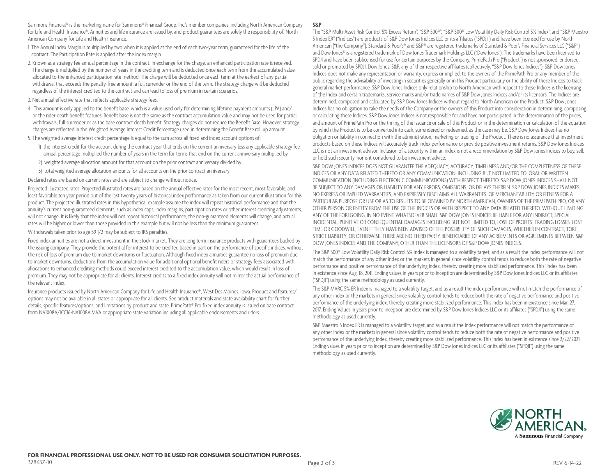Sammons Financial® is the marketing name for Sammons® Financial Group, Inc.'s member companies, including North American Company for Life and Health Insurance®. Annuities and life insurance are issued by, and product guarantees are solely the responsibility of, North American Company for Life and Health Insurance.

1. The Annual Index Margin is multiplied by two when it is applied at the end of each two-year term, guaranteed for the life of the contract. The Participation Rate is applied after the index margin.

- 2. Known as a strategy fee annual percentage in the contract. In exchange for the charge, an enhanced participation rate is received. The charge is multiplied by the number of years in the crediting term and is deducted once each term from the accumulated value allocated to the enhanced participation rate method. The charge will be deducted once each term at the earliest of any partial withdrawal that exceeds the penalty-free amount, a full surrender or the end of the term. The strategy charge will be deducted regardless of the interest credited to the contract and can lead to loss of premium in certain scenarios.
- 3. Net annual effective rate that reflects applicable strategy fees.
- 4. This amount is only applied to the benefit base, which is a value used only for determining lifetime payment amounts (LPA) and/ or the rider death benefit features. Benefit base is not the same as the contract accumulation value and may not be used for partial withdrawals, full surrender or as the base contract death benefit. Strategy charges do not reduce the Benefit Base. However, strategy charges are reflected in the Weighted Average Interest Credit Percentage used in determining the Benefit Base roll up amount.
- 5. The weighted average interest credit percentage is equal to the sum across all fixed and index account options of:
	- 1) the interest credit for the account during the contract year that ends on the current anniversary less any applicable strategy fee annual percentage multiplied the number of years in the term for terms that end on the current anniversary multiplied by
	- 2) weighted average allocation amount for that account on the prior contract anniversary divided by
	- 3) total weighted average allocation amounts for all accounts on the prior contract anniversary

Declared rates are based on current rates and are subject to change without notice.

Projected illustrated rates: Projected illustrated rates are based on the annual effective rates for the most recent, most favorable, and least favorable ten year period out of the last twenty years of historical index performance as taken from our current illustration for this product. The projected illustrated rates in this hypothetical example assume the index will repeat historical performance and that the annuity's current non-guaranteed elements, such as index caps, index margins, participation rates or other interest crediting adjustments, will not change. It is likely that the index will not repeat historical performance, the non-guaranteed elements will change, and actual rates will be higher or lower than those provided in this example but will not be less than the minimum guarantees.

Withdrawals taken prior to age 59 1/2 may be subject to IRS penalties.

Fixed index annuities are not a direct investment in the stock market. They are long term insurance products with guarantees backed by the issuing company. They provide the potential for interest to be credited based in part on the performance of specific indices, without the risk of loss of premium due to market downturns or fluctuation. Although fixed index annuities guarantee no loss of premium due to market downturns, deductions from the accumulation value for additional optional benefit riders or strategy fees associated with allocations to enhanced crediting methods could exceed interest credited to the accumulation value, which would result in loss of premium. They may not be appropriate for all clients. Interest credits to a fixed index annuity will not mirror the actual performance of the relevant index.

Insurance products issued by North American Company for Life and Health Insurance®, West Des Moines, Iowa. Product and features/ options may not be available in all states or appropriate for all clients. See product materials and state availability chart for further details, specific features/options, and limitations by product and state. PrimePath® Pro fixed index annuity is issued on base contract form NA1008A/ICC16-NA1008A.MVA or appropriate state variation including all applicable endorsements and riders.

#### **S&P**

The "S&P Multi-Asset Risk Control 5% Excess Return", "S&P 500®", "S&P 500® Low Volatility Daily Risk Control 5% Index", and "S&P Maestro 5 Index ER" ("Indices") are products of S&P Dow Jones Indices LLC or its affiliates ("SPDJI") and have been licensed for use by North American ("the Company"). Standard & Poor's® and S&P® are registered trademarks of Standard & Poor's Financial Services LLC ("S&P") and Dow Jones® is a registered trademark of Dow Jones Trademark Holdings LLC ("Dow Jones"). The trademarks have been licensed to SPDJI and have been sublicensed for use for certain purposes by the Company. PrimePath Pro ("Product") is not sponsored, endorsed, sold or promoted by SPDJI, Dow Jones, S&P, any of their respective affiliates (collectively, "S&P Dow Jones Indices"). S&P Dow Jones Indices does not make any representation or warranty, express or implied, to the owners of the PrimePath Pro or any member of the public regarding the advisability of investing in securities generally or in this Product particularly or the ability of these Indices to track general market performance. S&P Dow Jones Indices only relationship to North American with respect to these Indices is the licensing of the Index and certain trademarks, service marks and/or trade names of S&P Dow Jones Indices and/or its licensors. The Indices are determined, composed and calculated by S&P Dow Jones Indices without regard to North American or the Product. S&P Dow Jones Indices has no obligation to take the needs of the Company or the owners of this Product into consideration in determining, composing or calculating these Indices. S&P Dow Jones Indices is not responsible for and have not participated in the determination of the prices, and amount of PrimePath Pro or the timing of the issuance or sale of this Product or in the determination or calculation of the equation by which the Product is to be converted into cash, surrendered or redeemed, as the case may be. S&P Dow Jones Indices has no obligation or liability in connection with the administration, marketing or trading of the Product. There is no assurance that investment products based on these Indices will accurately track index performance or provide positive investment returns. S&P Dow Jones Indices LLC is not an investment advisor. Inclusion of a security within an index is not a recommendation by S&P Dow Jones Indices to buy, sell, or hold such security, nor is it considered to be investment advice.

S&P DOW JONES INDICES DOES NOT GUARANTEE THE ADEOUACY, ACCURACY, TIMELINESS AND/OR THE COMPLETENESS OF THESE INDICES OR ANY DATA RELATED THERETO OR ANY COMMUNICATION, INCLUDING BUT NOT LIMITED TO, ORAL OR WRITTEN COMMUNICATION (INCLUDING ELECTRONIC COMMUNICATIONS) WITH RESPECT THERETO. S&P DOW JONES INDICES SHALL NOT BE SUBJECT TO ANY DAMAGES OR LIABILITY FOR ANY ERRORS, OMISSIONS, OR DELAYS THEREIN. S&P DOW JONES INDICES MAKES NO EXPRESS OR IMPLIED WARRANTIES, AND EXPRESSLY DISCLAIMS ALL WARRANTIES, OF MERCHANTABILITY OR FITNESS FOR A PARTICULAR PURPOSE OR USE OR AS TO RESULTS TO BE OBTAINED BY NORTH AMERICAN, OWNERS OF THE PRIMEPATH PRO, OR ANY OTHER PERSON OR ENTITY FROM THE USE OF THE INDICES OR WITH RESPECT TO ANY DATA RELATED THERETO. WITHOUT LIMITING ANY OF THE FOREGOING, IN NO EVENT WHATSOEVER SHALL S&P DOW JONES INDICES BE LIABLE FOR ANY INDIRECT, SPECIAL, INCIDENTAL, PUNITIVE OR CONSEQUENTIAL DAMAGES INCLUDING BUT NOT LIMITED TO, LOSS OF PROFITS, TRADING LOSSES, LOST TIME OR GOODWILL, EVEN IF THEY HAVE BEEN ADVISED OF THE POSSIBILITY OF SUCH DAMAGES, WHETHER IN CONTRACT, TORT, STRICT LIABILITY, OR OTHERWISE. THERE ARE NO THIRD PARTY BENEFICIARIES OF ANY AGREEMENTS OR AGREEMENTS BETWEEN S&P DOW JONES INDICES AND THE COMPANY, OTHER THAN THE LICENSORS OF S&P DOW JONES INDICES.

The S&P 500® Low Volatility Daily Risk Control 5% Index is managed to a volatility target, and as a result the index performance will not match the performance of any other index or the markets in general since volatility control tends to reduce both the rate of negative performance and positive performance of the underlying index, thereby creating more stabilized performance. This iIndex has been in existence since Aug. 18, 2011. Ending values in years prior to inception are determined by S&P Dow Jones Indices LLC or its affiliates ("SPDJI") using the same methodology as used currently.

The S&P MARC 5% ER Index is managed to a volatility target, and as a result the index performance will not match the performance of any other index or the markets in general since volatility control tends to reduce both the rate of negative performance and positive performance of the underlying index, thereby creating more stabilized performance. This index has been in existence since Mar. 27, 2017. Ending Values in years prior to inception are determined by S&P Dow Jones Indices LLC or its affiliates ("SPDJI") using the same methodology as used currently.

S&P Maestro 5 Index ER is managed to a volatility target, and as a result the Index performance will not match the performance of any other index or the markets in general since volatility control tends to reduce both the rate of negative performance and positive performance of the underlying index, thereby creating more stabilized performance. This index has been in existence since 2/22/2021. Ending values in years prior to inception are determined by S&P Dow Jones Indices LLC or its affiliates ("SPDJI") using the same methodology as used currently.